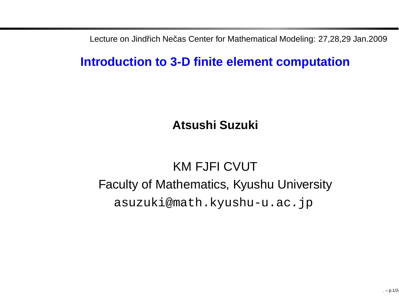Lecture on Jindřich Nečas Center for Mathematical Modeling: 27,28,29 Jan.2009

### **Introduction to 3-D finite element computation**

**Atsushi Suzuki**

# KM FJFI CVUT Faculty of Mathematics, Kyushu Universityasuzuki@math.kyushu-u.ac.jp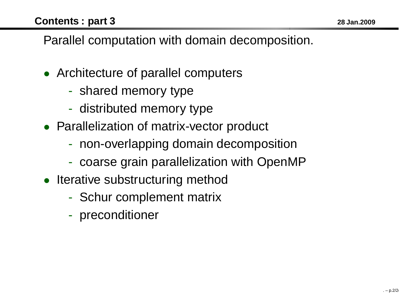Parallel computation with domain decomposition.

- Architecture of parallel computers
	- $\mathcal{L}_{\mathcal{A}}$ - shared memory type
	- $\mathcal{L}_{\mathcal{A}}$ - distributed memory type
- Parallelization of matrix-vector product
	- non-overlapping domain decomposition
	- $\mathcal{L}_{\mathcal{A}}$ coarse grain parallelization with OpenMP
- Iterative substructuring method
	- -- Schur complement matrix
	- $\mathcal{L}_{\mathcal{A}}$ - preconditioner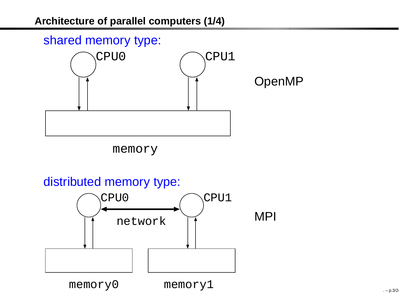### shared memory type:



memory

### distributed memory type:

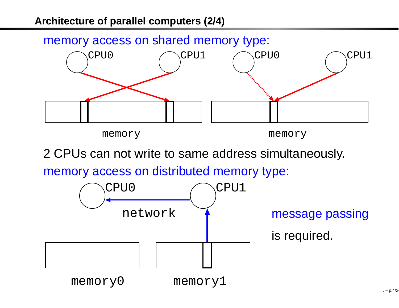#### memory access on shared memory type:



memory

memory

<sup>2</sup> CPUs can not write to same address simultaneously.

memory access on distributed memory type:

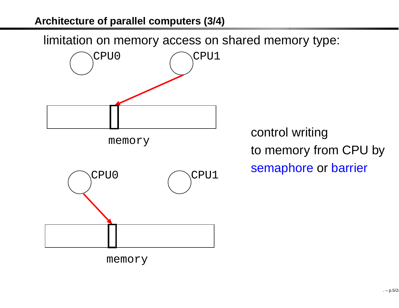limitation on memory access on shared memory type:



control writingto memory from CPU bysemaphore or barrier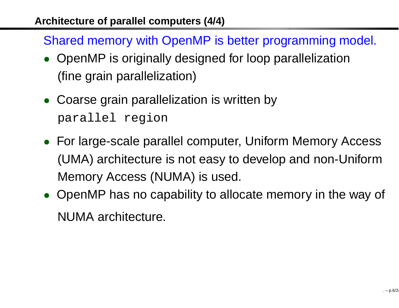Shared memory with OpenMP is better programming model.

- OpenMP is originally designed for loop parallelization(fine grain parallelization)
- Coarse grain parallelization is written by parallel region
- For large-scale parallel computer, Uniform Memory Access (UMA) architecture is not easy to develop and non-UniformMemory Access (NUMA) is used.
- OpenMP has no capability to allocate memory in the way of NUMA architecture.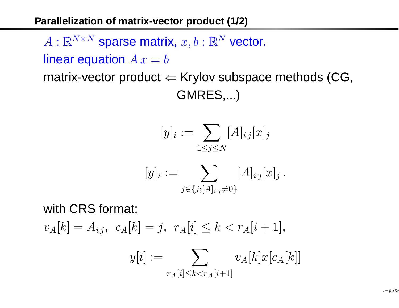### **Parallelization of matrix-vector product (1/2)**

 $A: \mathbb{R}^{N \times N}$  sparse matrix,  $x, b: \mathbb{R}^N$  vector.

linear equation  $\emph{A}$   $\emph{x}$  $= b$ 

 matrix-vector product ⇐ Krylov subspace methods (CG, GMRES,...)

$$
[y]_i := \sum_{1 \le j \le N} [A]_{ij} [x]_j
$$

$$
[y]_i := \sum_{j \in \{j; [A]_i, j \neq 0\}} [A]_{ij} [x]_j.
$$

with CRS format:

 $v_A[k] = A_{ij}, \ c_A[k] = j, \ r_A[i] \leq k < r_A[i+1],$ 

$$
y[i] := \sum_{r_A[i] \le k < r_A[i+1]} v_A[k]x[c_A[k]]
$$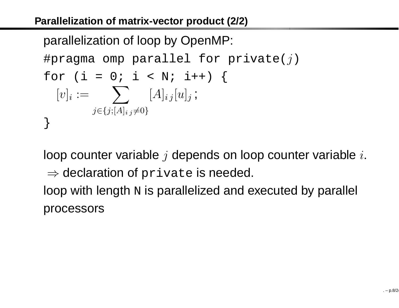parallelization of loop by OpenMP: #pragma omp parallel for private( $j$ ) for (i = 0; i < N; i++) {  $[v]_i := \quad \sum \quad [A]_{i \, j} [u]_j$ j∈{j;[A]<sub>i j</sub>≠0} ;<br>7 }

loop counter variable  $j$  depends on loop counter variable  $i.$ ⇒ declaration of private is needed.<br>een with length **prio perallalized** and a loop with length  $\scriptstyle\rm N$  is parallelized and executed by parallel

processors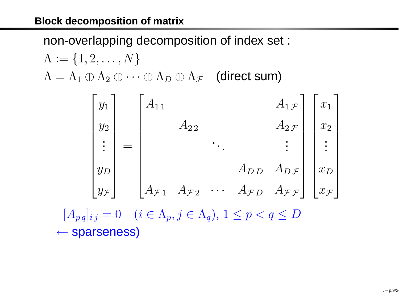non-overlapping decomposition of index set :

$$
\Lambda := \{1, 2, ..., N\}
$$

$$
\Lambda = \Lambda_1 \oplus \Lambda_2 \oplus \cdots \oplus \Lambda_D \oplus \Lambda_{\mathcal{F}} \quad \text{(direct sum)}
$$

|                   |  |  | $\begin{bmatrix} y_1 \\ y_2 \\ \vdots \\ y_D \\ y_{\mathcal{F}} \end{bmatrix} = \begin{bmatrix} A_{11} & & & & A_{1\mathcal{F}} \\ & A_{22} & & & A_{2\mathcal{F}} \\ & & \ddots & & \vdots \\ & & & A_{DD} & A_{D\mathcal{F}} \\ & & & & A_{\mathcal{F}D} & A_{\mathcal{F}\mathcal{F}} \end{bmatrix} \begin{bmatrix} x_1 \\ x_2 \\ \vdots \\ x_D \\ x_{\mathcal{F}} \end{bmatrix}$ |  |  |
|-------------------|--|--|-------------------------------------------------------------------------------------------------------------------------------------------------------------------------------------------------------------------------------------------------------------------------------------------------------------------------------------------------------------------------------------|--|--|
|                   |  |  |                                                                                                                                                                                                                                                                                                                                                                                     |  |  |
|                   |  |  |                                                                                                                                                                                                                                                                                                                                                                                     |  |  |
|                   |  |  |                                                                                                                                                                                                                                                                                                                                                                                     |  |  |
|                   |  |  |                                                                                                                                                                                                                                                                                                                                                                                     |  |  |
| $[A_{pq}]_{ij}=0$ |  |  | $(i \in \Lambda_p, j \in \Lambda_q)$ , $1 \leq p < q \leq D$                                                                                                                                                                                                                                                                                                                        |  |  |

← sparseness)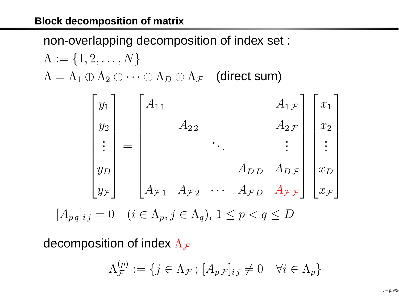non-overlapping decomposition of index set :

$$
\Lambda := \{1, 2, ..., N\}
$$

$$
\Lambda = \Lambda_1 \oplus \Lambda_2 \oplus \cdots \oplus \Lambda_D \oplus \Lambda_{\mathcal{F}} \quad \text{(direct sum)}
$$

|             | $\begin{array}{c c} y_1 & A_{11} \ y_2 & \end{array}$     |          |                                                                                                                                                                                                                                          | $A_1\mathcal{F}$   $x_1$     |  |
|-------------|-----------------------------------------------------------|----------|------------------------------------------------------------------------------------------------------------------------------------------------------------------------------------------------------------------------------------------|------------------------------|--|
|             |                                                           | $A_{22}$ |                                                                                                                                                                                                                                          | $A_2$ $\left  \right $ $x_2$ |  |
|             | $\begin{array}{c c} y_2 & A_{22} \\ \vdots & \end{array}$ |          |                                                                                                                                                                                                                                          |                              |  |
|             |                                                           |          | $\begin{bmatrix} y_D \\ y_{\mathcal{F}} \end{bmatrix}$ $\begin{bmatrix} A_{\mathcal{F}1} & A_{\mathcal{F}2} & \cdots & A_{\mathcal{F}D} & A_{\mathcal{F}\mathcal{F}} \end{bmatrix} \begin{bmatrix} x_D \\ x_{\mathcal{F}} \end{bmatrix}$ |                              |  |
|             |                                                           |          |                                                                                                                                                                                                                                          |                              |  |
| $ q i  = 0$ |                                                           |          | $(i \in \Lambda_p, j \in \Lambda_q)$ , $1 \leq p < q \leq D$                                                                                                                                                                             |                              |  |

decomposition of index  $\Lambda_\mathcal{F}$ 

 $[A_p]$ 

$$
\Lambda_{\mathcal{F}}^{(p)} := \{ j \in \Lambda_{\mathcal{F}} \, ; \, [A_p \mathcal{F}]_{ij} \neq 0 \quad \forall i \in \Lambda_p \}
$$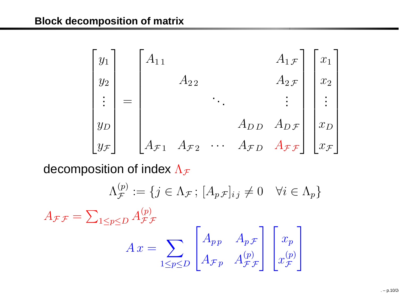| $y_1$                        | $A_{1\,1}$         |                    |                               |                             | $A_1\mathcal{F}$   $x_1$              |                                   |
|------------------------------|--------------------|--------------------|-------------------------------|-----------------------------|---------------------------------------|-----------------------------------|
| $y_2$                        |                    | $A_{2\,2}$         |                               |                             | $A_2$ $\mathcal F$                    | $\overline{x_2}$                  |
| $\left  \frac{1}{2} \right $ |                    |                    |                               |                             | $\pm$                                 | $\frac{1}{2}$                     |
|                              |                    |                    |                               | $A_{DD}$ $A_{D\mathcal{F}}$ |                                       | $x_D$                             |
| $y_{\mathcal{F}}$            | $A_{\mathcal{F}1}$ | $A_{\mathcal{F}2}$ | $\ddot{\cdot}$ $\ddot{\cdot}$ |                             | $A_{FD}$ $A_{\mathcal{F}\mathcal{F}}$ | $\lfloor x_{\mathcal{F}} \rfloor$ |

decomposition of index  $\Lambda_\mathcal{F}$ 

$$
\Lambda_{\mathcal{F}}^{(p)} := \{ j \in \Lambda_{\mathcal{F}} \, ; \, [A_p \mathcal{F}]_{ij} \neq 0 \quad \forall i \in \Lambda_p \}
$$

 $A_{\mathcal{F}\mathcal{F}}$ = $\sum_{1\leq p\leq D}A_{\mathcal{F}\mathcal{F}}^{(p)}$ 

$$
A x = \sum_{1 \le p \le D} \begin{bmatrix} A_{pp} & A_{p\mathcal{F}} \\ A_{\mathcal{F}p} & A_{\mathcal{F}\mathcal{F}}^{\{p\}} \end{bmatrix} \begin{bmatrix} x_p \\ x_{\mathcal{F}}^{\{p\}} \end{bmatrix}
$$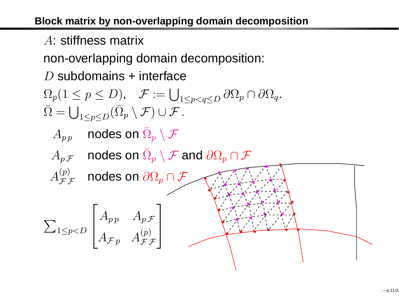A: stiffness matrix

non-overlapping domain decomposition:

 $D$  subdomains + interface

$$
\Omega_p(1 \le p \le D), \quad \mathcal{F} := \bigcup_{1 \le p < q \le D} \partial \Omega_p \cap \partial \Omega_q.
$$
\n
$$
\overline{\Omega} = \bigcup_{1 \le p \le D} (\overline{\Omega}_p \setminus \mathcal{F}) \cup \mathcal{F}.
$$

 $A_{p\,p}$  nodes on  $\bar{\Omega}_p$  $_p \setminus \mathcal{F}$ 

 $A_p$   $\cal F$  $_\mathcal{F}$  nodes on  $\bar{\Omega}_p$  $_p \setminus \mathcal{F}$  and  $\partial \Omega_p$  ${}_{p}\cap\mathcal{F}$ 

 $A_{\bm{\tau}}^{(p)}$  ${}^{(p)}_{{\cal F} {\cal F}}$  nodes on  $\partial \Omega_p$  ${}_{p}\cap\mathcal{F}$ 

$$
\sum_{1 \le p < D} \begin{bmatrix} A_{pp} & A_{p\mathcal{F}} \\ A_{\mathcal{F}p} & A_{\mathcal{F}\mathcal{F}}^{(p)} \end{bmatrix}
$$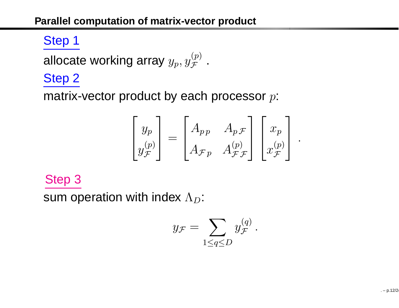# Step <sup>1</sup>

allocate working array  $y_p, y^{\leftarrow}_\jmath$  $\mathop{\mathcal{F}}\limits^{(p)}$  .

### Step <sup>2</sup>

matrix-vector product by each processor  $p\mathrm{:}$ 

$$
\begin{bmatrix} y_p \\ y_{\mathcal{F}}^{\left( p \right)} \end{bmatrix} = \begin{bmatrix} A_{pp} & A_{p\mathcal{F}} \\ A_{\mathcal{F}p} & A_{\mathcal{F}\mathcal{F}}^{\left( p \right)} \end{bmatrix} \begin{bmatrix} x_p \\ x_{\mathcal{F}}^{\left( p \right)} \end{bmatrix}.
$$

### Step 3

sum operation with index  $\Lambda_D^+$ :

$$
y_{\mathcal{F}} = \sum_{1 \leq q \leq D} y_{\mathcal{F}}^{(q)}.
$$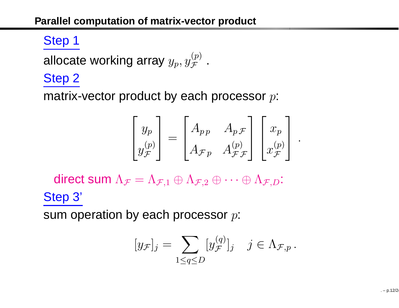# Step <sup>1</sup>

allocate working array  $y_p, y^{\leftarrow}_\jmath$  $\mathop{\mathcal{F}}\limits^{(p)}$  .

### Step <sup>2</sup>

matrix-vector product by each processor  $p\mathrm{:}$ 

$$
\begin{bmatrix} y_p \\ y_{\mathcal{F}}^{\left( p \right)} \end{bmatrix} = \begin{bmatrix} A_{pp} & A_{p\mathcal{F}} \\ A_{\mathcal{F}p} & A_{\mathcal{F}\mathcal{F}}^{\left( p \right)} \end{bmatrix} \begin{bmatrix} x_p \\ x_{\mathcal{F}}^{\left( p \right)} \end{bmatrix}.
$$

direct sum  $\Lambda_\mathcal{F}$  $_{\mathcal{F}} = \Lambda$  $_{\mathcal{F},1}\oplus\Lambda_{\mathcal{F},2}\oplus\dots\oplus\Lambda_{\mathcal{F},D}$ : Step 3'

sum operation by each processor  $p\mathrm{:}$ 

$$
[y_{\mathcal{F}}]_j = \sum_{1 \le q \le D} [y_{\mathcal{F}}^{(q)}]_j \quad j \in \Lambda_{\mathcal{F},p} \, .
$$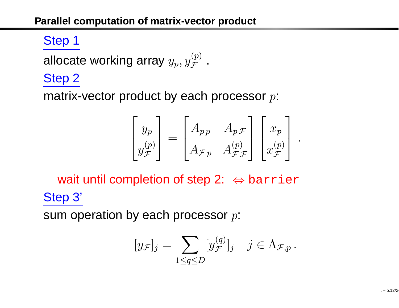# Step <sup>1</sup>

allocate working array  $y_p, y^{\leftarrow}_\jmath$  $\mathop{\mathcal{F}}\limits^{(p)}$  .

### Step <sup>2</sup>

matrix-vector product by each processor  $p\mathrm{:}$ 

$$
\begin{bmatrix} y_p \\ y_{\mathcal{F}}^{\left( p \right)} \end{bmatrix} = \begin{bmatrix} A_{pp} & A_{p\mathcal{F}} \\ A_{\mathcal{F}p} & A_{\mathcal{F}\mathcal{F}}^{\left( p \right)} \end{bmatrix} \begin{bmatrix} x_p \\ x_{\mathcal{F}}^{\left( p \right)} \end{bmatrix}.
$$

wait until completion of step 2: ⇔ barrier<br>。?' Step 3'

sum operation by each processor  $p\mathrm{:}$ 

$$
[y_{\mathcal{F}}]_j = \sum_{1 \le q \le D} [y_{\mathcal{F}}^{(q)}]_j \quad j \in \Lambda_{\mathcal{F},p}.
$$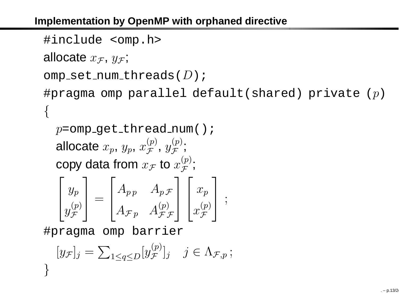### **Implementation by OpenMP with orphaned directive**

```
#include <omp.h>
```

```
allocate x_{\mathcal{F}}, y_{\mathcal{F}};
```

```
omp_set_num_threads(D);
```

```
#pragma omp parallel default(shared) private (p)
{
```

```
p=omp_get_thread_num();
allocate x_p,\,y_p,\,xcopy data from x_\mathcal{F} to
                                  \overset{(p)}{\mathcal{F}} , y\mathcal{F} \ \mathcal{F};<br>;
                                   \mathcal F to x(p)
F;<br>;
```

$$
\begin{bmatrix} y_p \\ y_{\mathcal{F}}^{\left( p \right)} \end{bmatrix} = \begin{bmatrix} A_{pp} & A_{p\mathcal{F}} \\ A_{\mathcal{F}p} & A_{\mathcal{F}\mathcal{F}}^{\left( p \right)} \end{bmatrix} \begin{bmatrix} x_p \\ x_{\mathcal{F}}^{\left( p \right)} \end{bmatrix} ;
$$

#pragma omp barrier

$$
[y_{\mathcal{F}}]_j = \sum_{1 \le q \le D} [y_{\mathcal{F}}^{(p)}]_j \quad j \in \Lambda_{\mathcal{F},p} ;
$$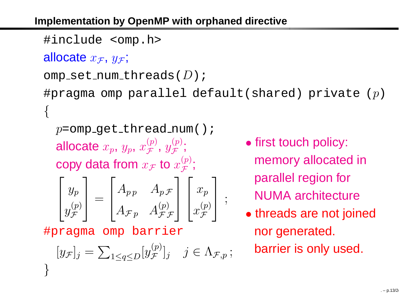**Implementation by OpenMP with orphaned directive**

#include <omp.h>

allocate  $x_{\mathcal{F}}$ ,  $y_{\mathcal{F}}$ ;

```
omp_set_num_threads(D);
```
#pragma omp parallel default(shared) private ( $p$ ) {

 $p$ =omp\_get\_thread\_num(); allocate  $x_p,\,y_p,\,x$ copy data from  $x_\mathcal{F}$  to  $\overset{(p)}{\mathcal{F}}$  ,  $y$  $\mathop{\mathcal{F}}\limits^{(p)}$ ;<br>;  $\mathcal{F}$  to  $x$ (p) F;<br>;

$$
\begin{bmatrix} y_p \\ y_{\mathcal{F}}^{\left( p \right)} \end{bmatrix} = \begin{bmatrix} A_{pp} & A_{p\mathcal{F}} \\ A_{\mathcal{F}p} & A_{\mathcal{F}\mathcal{F}}^{\left( p \right)} \end{bmatrix} \begin{bmatrix} x_p \\ x_{\mathcal{F}}^{\left( p \right)} \end{bmatrix} ;
$$

#pragma omp barrier

$$
[y_{\mathcal{F}}]_j = \sum_{1 \le q \le D} [y_{\mathcal{F}}^{(p)}]_j \quad j \in \Lambda_{\mathcal{F},p} ;
$$

- first touch policy: memory allocated inparallel region forNUMA architecture
- threads are not joinednor generated. barrier is only used.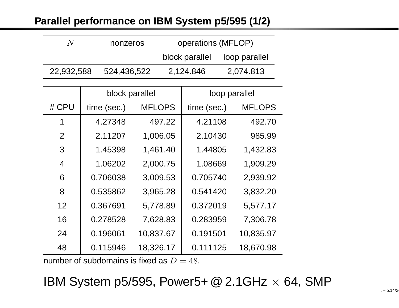### **Parallel performance on IBM System p5/595 (1/2)**

| N.         | nonzeros    | operations (MFLOP)              |           |  |
|------------|-------------|---------------------------------|-----------|--|
|            |             | block parallel<br>loop parallel |           |  |
| 22,932,588 | 524,436,522 | 2,124.846                       | 2,074.813 |  |

|                   | block parallel |               | loop parallel |               |  |
|-------------------|----------------|---------------|---------------|---------------|--|
| # CPU             | time (sec.)    | <b>MFLOPS</b> | time (sec.)   | <b>MFLOPS</b> |  |
| 1                 | 4.27348        | 497.22        | 4.21108       | 492.70        |  |
| 2                 | 2.11207        | 1,006.05      | 2.10430       | 985.99        |  |
| 3                 | 1.45398        | 1,461.40      | 1.44805       | 1,432.83      |  |
| $\overline{4}$    | 1.06202        | 2,000.75      | 1.08669       | 1,909.29      |  |
| 6                 | 0.706038       | 3,009.53      | 0.705740      | 2,939.92      |  |
| 8                 | 0.535862       | 3,965.28      | 0.541420      | 3,832.20      |  |
| $12 \overline{ }$ | 0.367691       | 5,778.89      | 0.372019      | 5,577.17      |  |
| 16                | 0.278528       | 7,628.83      | 0.283959      | 7,306.78      |  |
| 24                | 0.196061       | 10,837.67     | 0.191501      | 10,835.97     |  |
| 48                | 0.115946       | 18,326.17     | 0.111125      | 18,670.98     |  |

number of subdomains is fixed as  $D=48$ .

IBM System p5/595, Power5+ @ 2.1GHz  $\times$  64, SMP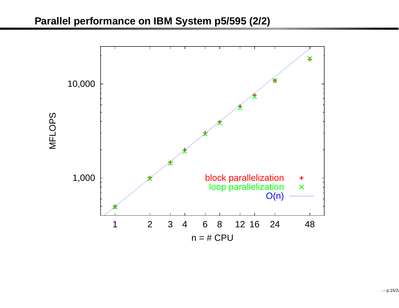#### **Parallel performance on IBM System p5/595 (2/2)**

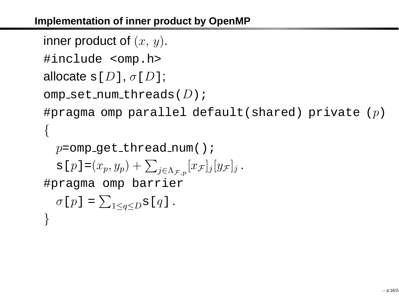### **Implementation of inner product by OpenMP**

```
inner product of (x,\,y).
```
#include <omp.h>

```
allocate \operatorname{s}[D], \sigma[D];
```
}

```
omp_set_num_threads(D);
```
#pragma omp parallel default(shared) private ( $p$ ) {

```
p=omp_get_thread_num();
    \texttt{s}[p\,]\texttt{=} (x_p, y_p) + \sum_{j \in \Lambda_{\mathcal{F},p}} [x_\mathcal{F}

#pragma omp barrier
                                                          \mathcal{F}] j [y\mathcal{F}% (x,y)]_{ij}\mathcal{F}] j
                                                                           .
    \sigma[p] =\sum_{1\leq q\leq D}s[q]
                                              .
```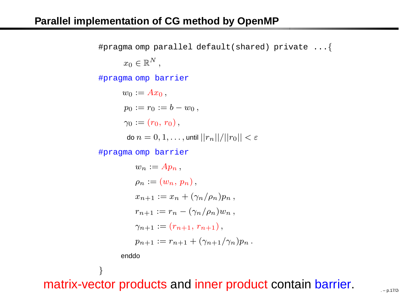#pragma omp parallel default(shared) private ... { $x_0\in\mathbb{R}^N$  , #pragma omp barrier  $w_0 := Ax_0,$  $p_0 := r_0 := b - w_0,$  $\gamma_0 := (r_0, r_0),$ do  $n = 0, 1, \ldots$  , until  $||r_n||/||r_0|| < \varepsilon$ #pragma omp barrier

$$
w_n := Ap_n,
$$
  
\n
$$
\rho_n := (w_n, p_n),
$$
  
\n
$$
x_{n+1} := x_n + (\gamma_n/\rho_n)p_n,
$$
  
\n
$$
r_{n+1} := r_n - (\gamma_n/\rho_n)w_n,
$$
  
\n
$$
\gamma_{n+1} := (r_{n+1}, r_{n+1}),
$$
  
\n
$$
p_{n+1} := r_{n+1} + (\gamma_{n+1}/\gamma_n)p_n.
$$

enddo

}

matrix-vector products and inner product contain barrier.  $\qquad \qquad \qquad \qquad \qquad \qquad \qquad \qquad \ldots \qquad \qquad \ldots \qquad \qquad \ldots$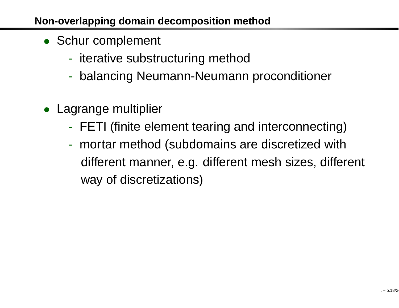### **Non-overlapping domain decomposition method**

- Schur complement
	- $\mathcal{L}_{\mathcal{A}}$ - iterative substructuring method
	- $\mathcal{L}_{\mathcal{A}}$ balancing Neumann-Neumann proconditioner
- $\bullet$  Lagrange multiplier
	- $\mathcal{L}_{\mathcal{A}}$ FETI (finite element tearing and interconnecting)
	- mortar method (subdomains are discretized withdifferent manner, e.g. different mesh sizes, different way of discretizations)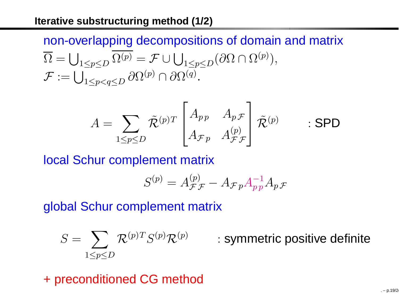# non-overlapping decompositions of domain and matrix $\overline{\Omega} = \bigcup_{1 \leq p \leq D} \Omega^{(p)} = \mathcal{F} \cup \bigcup_{1 \leq p \leq D} (\partial \Omega \cap \Omega^{(p)}),$  $\mathcal{F}:=\bigcup_{1\leq p< q\leq D}\partial\Omega^{(p)}\cap\partial\Omega^{(q)}.$

$$
A = \sum_{1 \le p \le D} \tilde{\mathcal{R}}^{(p)T} \begin{bmatrix} A_{pp} & A_{p\mathcal{F}} \\ A_{\mathcal{F}p} & A_{\mathcal{F}\mathcal{F}}^{(p)} \end{bmatrix} \tilde{\mathcal{R}}^{(p)} \qquad : \textbf{SPD}
$$

local Schur complement matrix

$$
S^{(p)} = A_{\mathcal{F}\mathcal{F}}^{(p)} - A_{\mathcal{F}p} A_{p\, p}^{-1} A_{p\, \mathcal{F}}
$$

global Schur complement matrix

$$
S = \sum_{1 \le p \le D} \mathcal{R}^{(p)T} S^{(p)} \mathcal{R}^{(p)}
$$

: symmetric positive definite

+ preconditioned CG method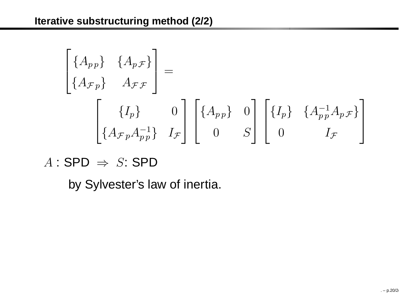$$
\begin{bmatrix}\n\{A_{pp}\} & \{A_{pF}\} \\
\{A_{Fp}\} & A_{FF}\n\end{bmatrix} = \n\begin{bmatrix}\n\{I_p\} & 0 \\
\{A_{Fp}A_{pp}\} & I_{F}\n\end{bmatrix}\n\begin{bmatrix}\n\{A_{pp}\} & 0 \\
0 & S\n\end{bmatrix}\n\begin{bmatrix}\n\{I_p\} & \{A_{pp}^{-1}A_{pF}\} \\
0 & I_{F}\n\end{bmatrix}
$$

 $A:$  SPD  $\Rightarrow S:$  SPD

by Sylvester's law of inertia.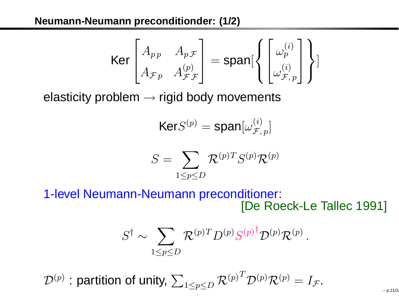### **Neumann-Neumann preconditionder: (1/2)**

$$
\text{Ker}\begin{bmatrix} A_{pp} & A_{p\mathcal{F}} \\ A_{\mathcal{F}p} & A_{\mathcal{F}\mathcal{F}} \end{bmatrix} = \text{span}\begin{bmatrix} \begin{bmatrix} \omega_p^{(i)} \\ \omega_{\mathcal{F},p}^{(i)} \end{bmatrix} \end{bmatrix}
$$

elasticity problem  $\rightarrow$  rigid body movements

$$
\text{Ker}S^{(p)} = \text{span}[\omega_{\mathcal{F},\,p}^{(i)}]
$$

$$
S = \sum_{1 \le p \le D} \mathcal{R}^{(p)T} S^{(p)} \mathcal{R}^{(p)}
$$

1-level Neumann-Neumann preconditioner: [De Roeck-Le Tallec 1991]

$$
S^{\dagger} \sim \sum_{1 \le p \le D} \mathcal{R}^{(p)T} D^{(p)} S^{(p) \dagger} \mathcal{D}^{(p)} \mathcal{R}^{(p)}
$$

 $\mathcal{D}^{(p)}$  : partition of unity,  $\sum_{1\leq p\leq D}\mathcal{R}^{(p)^{T}}$  ${}^{I}\mathcal{D}^{(p)}\mathcal{R}^{(p)}=I_\mathcal{F}$  $\mathcal{F}$  .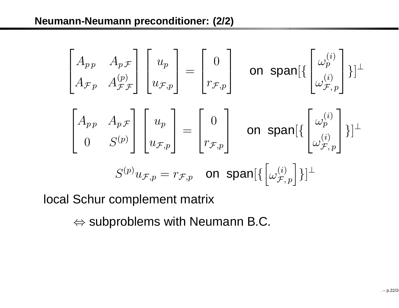$$
\begin{bmatrix}\nA_{p p} & A_{p \mathcal{F}} \\
A_{\mathcal{F} p} & A_{\mathcal{F} \mathcal{F}}\n\end{bmatrix}\n\begin{bmatrix}\nu_p \\
u_{\mathcal{F}, p}\n\end{bmatrix} =\n\begin{bmatrix}\n0 \\
r_{\mathcal{F}, p}\n\end{bmatrix}\n\quad \text{on } \text{span}[\left\{\begin{bmatrix}\n\omega_p^{(i)} \\
\omega_{\mathcal{F}, p}^{(i)}\n\end{bmatrix}\right\}]^{\perp}
$$
\n
$$
\begin{bmatrix}\nA_{p p} & A_{p \mathcal{F}} \\
0 & S^{(p)}\n\end{bmatrix}\n\begin{bmatrix}\nu_p \\
u_{\mathcal{F}, p}\n\end{bmatrix} =\n\begin{bmatrix}\n0 \\
r_{\mathcal{F}, p}\n\end{bmatrix}\n\quad \text{on } \text{span}[\left\{\begin{bmatrix}\n\omega_p^{(i)} \\
\omega_{\mathcal{F}, p}^{(i)}\n\end{bmatrix}\right\}]^{\perp}
$$
\n
$$
S^{(p)}u_{\mathcal{F}, p} = r_{\mathcal{F}, p}\n\quad \text{on } \text{span}[\left\{\begin{bmatrix}\n\omega_{\mathcal{F}, p}^{(i)}\n\end{bmatrix}\right\}]^{\perp}
$$

local Schur complement matrix

 $\Leftrightarrow$  subproblems with Neumann B.C.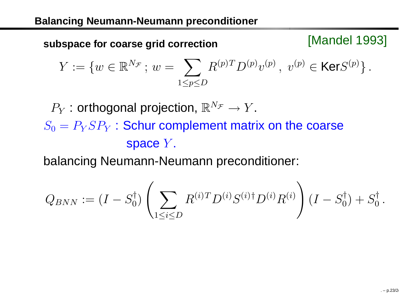[Mandel 1993] **subspace for coarse grid correction**

$$
Y := \{ w \in \mathbb{R}^{N_{\mathcal{F}}}; w = \sum_{1 \le p \le D} R^{(p)T} D^{(p)} v^{(p)}, v^{(p)} \in \text{Ker} S^{(p)} \}.
$$

 $P_Y$  : orthogonal projection,  $\mathbb{R}^{N_\mathcal{F}} \to Y$  $S_0=P_Y S P_Y$  : Schur complement matrix on the coarse . space  $Y$ .

balancing Neumann-Neumann preconditioner:

$$
Q_{BNN} := (I - S_0^{\dagger}) \left( \sum_{1 \leq i \leq D} R^{(i)T} D^{(i)} S^{(i) \dagger} D^{(i)} R^{(i)} \right) (I - S_0^{\dagger}) + S_0^{\dagger}.
$$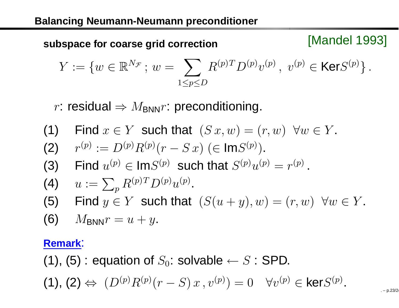[Mandel 1993] **subspace for coarse grid correction**

$$
Y := \{ w \in \mathbb{R}^{N_{\mathcal{F}}}; w = \sum_{1 \le p \le D} R^{(p)T} D^{(p)} v^{(p)}, v^{(p)} \in \text{Ker} S^{(p)} \}.
$$

 $r$ : residual  $\Rightarrow$   $M_{\mathsf{BNN}} r$ : preconditioning.

- (1) Find  $x \in Y$  such that  $(S x, w) = (r, w) \ \forall w \in Y$  $r^{(p)}:=D^{(p)}R^{(p)}(r-\;$  $\overline{\phantom{a}}$ . (2) $\frac{1}{2}$  . The set of  $\frac{1}{2}$  $-S(x)$  ( $\in \text{Im}S^{(p)}$ ). (3) Find  $u^{(p)} \in \textsf{Im} S^{(p)}$  such that  $S^{(p)} u^{(p)} = r^{(p)}$ . (4)  $u := \sum_p R^{(p)T}$ (5) Find  $y \in Y$  such that  $(S(u+y), w) = (r, w) \ \ \forall w \in Y$  $R^{(p)T}D^{(p)}u^{(p)}$  . . (6) $M_{\mathsf{BNN}} r=u+y$ . **Remark**:
- (1), (5) : equation of  $S_0$ : solvable  $\leftarrow S$  : SPD.

(1), (2) 
$$
\Leftrightarrow
$$
  $(D^{(p)}R^{(p)}(r-S)x, v^{(p)}) = 0 \quad \forall v^{(p)} \in \text{ker}S^{(p)}$ .

 $-$  p.23/24